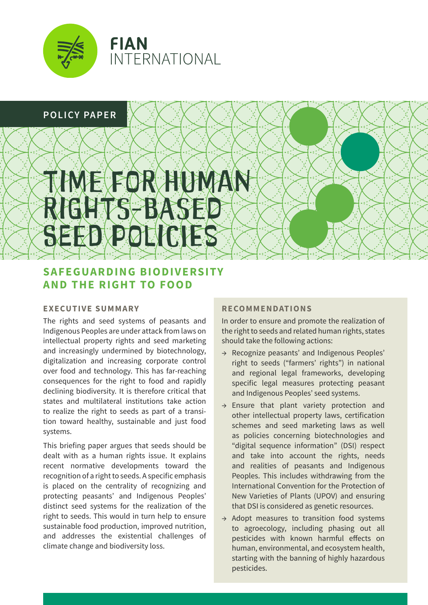

# **POLICY PAPER**

# FOR HUMAN RIGHTS-BASED SEED POLICIES

# **SAFEGUARDING BIODIVERSITY AND THE RIGHT TO FOOD**

# **EXECUTIVE SUMMARY**

The rights and seed systems of peasants and Indigenous Peoples are under attack from laws on intellectual property rights and seed marketing and increasingly undermined by biotechnology, digitalization and increasing corporate control over food and technology. This has far-reaching consequences for the right to food and rapidly declining biodiversity. It is therefore critical that states and multilateral institutions take action to realize the right to seeds as part of a transition toward healthy, sustainable and just food systems.

This briefing paper argues that seeds should be dealt with as a human rights issue. It explains recent normative developments toward the recognition of a right to seeds. A specific emphasis is placed on the centrality of recognizing and protecting peasants' and Indigenous Peoples' distinct seed systems for the realization of the right to seeds. This would in turn help to ensure sustainable food production, improved nutrition, and addresses the existential challenges of climate change and biodiversity loss.

# **RECOMMENDATIONS**

In order to ensure and promote the realization of the right to seeds and related human rights, states should take the following actions:

- → Recognize peasants' and Indigenous Peoples' right to seeds ("farmers' rights") in national and regional legal frameworks, developing specific legal measures protecting peasant and Indigenous Peoples' seed systems.
- → Ensure that plant variety protection and other intellectual property laws, certification schemes and seed marketing laws as well as policies concerning biotechnologies and "digital sequence information" (DSI) respect and take into account the rights, needs and realities of peasants and Indigenous Peoples. This includes withdrawing from the International Convention for the Protection of New Varieties of Plants (UPOV) and ensuring that DSI is considered as genetic resources.
- → Adopt measures to transition food systems to agroecology, including phasing out all pesticides with known harmful effects on human, environmental, and ecosystem health, starting with the banning of highly hazardous pesticides.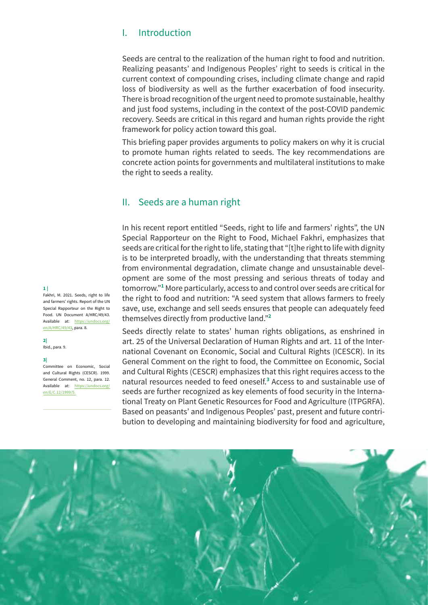# I. Introduction

Seeds are central to the realization of the human right to food and nutrition. Realizing peasants' and Indigenous Peoples' right to seeds is critical in the current context of compounding crises, including climate change and rapid loss of biodiversity as well as the further exacerbation of food insecurity. There is broad recognition of the urgent need to promote sustainable, healthy and just food systems, including in the context of the post-COVID pandemic recovery. Seeds are critical in this regard and human rights provide the right framework for policy action toward this goal.

This briefing paper provides arguments to policy makers on why it is crucial to promote human rights related to seeds. The key recommendations are concrete action points for governments and multilateral institutions to make the right to seeds a reality.

# II. Seeds are a human right

In his recent report entitled "Seeds, right to life and farmers' rights", the UN Special Rapporteur on the Right to Food, Michael Fakhri, emphasizes that seeds are critical for the right to life, stating that "[t]he right to life with dignity is to be interpreted broadly, with the understanding that threats stemming from environmental degradation, climate change and unsustainable development are some of the most pressing and serious threats of today and tomorrow."**<sup>1</sup>** More particularly, access to and control over seeds are critical for the right to food and nutrition: "A seed system that allows farmers to freely save, use, exchange and sell seeds ensures that people can adequately feed themselves directly from productive land."**<sup>2</sup>**

Seeds directly relate to states' human rights obligations, as enshrined in art. 25 of the Universal Declaration of Human Rights and art. 11 of the International Covenant on Economic, Social and Cultural Rights (ICESCR). In its General Comment on the right to food, the Committee on Economic, Social and Cultural Rights (CESCR) emphasizes that this right requires access to the natural resources needed to feed oneself.**<sup>3</sup>** Access to and sustainable use of seeds are further recognized as key elements of food security in the International Treaty on Plant Genetic Resources for Food and Agriculture (ITPGRFA). Based on peasants' and Indigenous Peoples' past, present and future contribution to developing and maintaining biodiversity for food and agriculture,



#### **1 |**

Fakhri, M. 2021. Seeds, right to life and farmers' rights. Report of the UN Special Rapporteur on the Right to Food. UN Document A/HRC/49/43. Available at: [https://undocs.org/](https://undocs.org/en/A/HRC/49/43) [en/A/HRC/49/43](https://undocs.org/en/A/HRC/49/43), para. 8.

**2|** Ibid., para. 9.

## **3|**

Committee on Economic, Social and Cultural Rights (CESCR). 1999. General Comment, no. 12, para. 12. Available at: [https://undocs.org/](https://undocs.org/en/E/C.12/1999/5) [en/E/C.12/1999/5.](https://undocs.org/en/E/C.12/1999/5)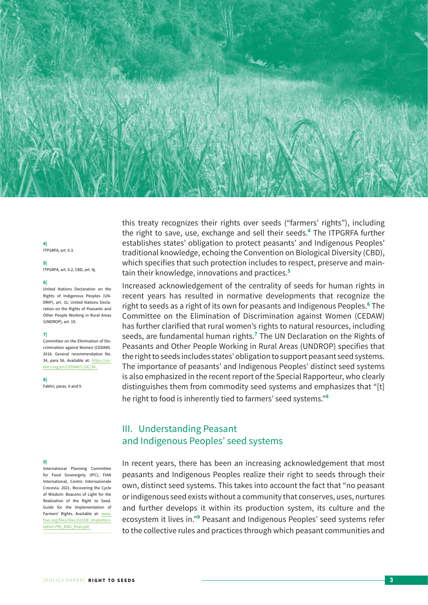

#### **4|** ITPGRFA, art. 9.3.

**5|**

ITPGRFA, art. 9.2, CBD, art. 8j.

#### **6|**

United Nations Declaration on the Rights of Indigenous Peoples (UN-DRIP), art. 31; United Nations Declaration on the Rights of Peasants and Other People Working in Rural Areas (UNDROP), art. 19.

#### **7|**

Committee on the Elimination of Discrimination against Women (CEDAW). 2016. General recommendation No. 34, para 56. Available at: [https://un](https://undocs.org/en/CEDAW/C/GC/34)[docs.org/en/CEDAW/C/GC/34.](https://undocs.org/en/CEDAW/C/GC/34)

**8|**

Fakhri, paras. 6 and 9.

#### **9|**

International Planning Committee for Food Sovereignty (IPC), FIAN International, Centro Internazionale Crocevia. 2021. Recovering the Cycle of Wisdom: Beacons of Light for the Realization of the Right to Seed. Guide for the Implementation of Farmers' Rights. Available at: [www.](http://www.fian.org/files/files/GUIDE_Implementation-FRs_ENG_final.pdf) [fian.org/files/files/GUIDE\\_Implemen](http://www.fian.org/files/files/GUIDE_Implementation-FRs_ENG_final.pdf)[tation-FRs\\_ENG\\_final.pdf](http://www.fian.org/files/files/GUIDE_Implementation-FRs_ENG_final.pdf).

this treaty recognizes their rights over seeds ("farmers' rights"), including the right to save, use, exchange and sell their seeds.**<sup>4</sup>** The ITPGRFA further establishes states' obligation to protect peasants' and Indigenous Peoples' traditional knowledge, echoing the Convention on Biological Diversity (CBD), which specifies that such protection includes to respect, preserve and maintain their knowledge, innovations and practices.**<sup>5</sup>**

Increased acknowledgement of the centrality of seeds for human rights in recent years has resulted in normative developments that recognize the right to seeds as a right of its own for peasants and Indigenous Peoples.**<sup>6</sup>** The Committee on the Elimination of Discrimination against Women (CEDAW) has further clarified that rural women's rights to natural resources, including seeds, are fundamental human rights.**<sup>7</sup>** The UN Declaration on the Rights of Peasants and Other People Working in Rural Areas (UNDROP) specifies that the right to seeds includes states' obligation to support peasant seed systems. The importance of peasants' and Indigenous Peoples' distinct seed systems is also emphasized in the recent report of the Special Rapporteur, who clearly distinguishes them from commodity seed systems and emphasizes that "[t] he right to food is inherently tied to farmers' seed systems."**<sup>8</sup>**

# III. Understanding Peasant and Indigenous Peoples' seed systems

In recent years, there has been an increasing acknowledgement that most peasants and Indigenous Peoples realize their right to seeds through their own, distinct seed systems. This takes into account the fact that "no peasant or indigenous seed exists without a community that conserves, uses, nurtures and further develops it within its production system, its culture and the ecosystem it lives in."**<sup>9</sup>** Peasant and Indigenous Peoples' seed systems refer to the collective rules and practices through which peasant communities and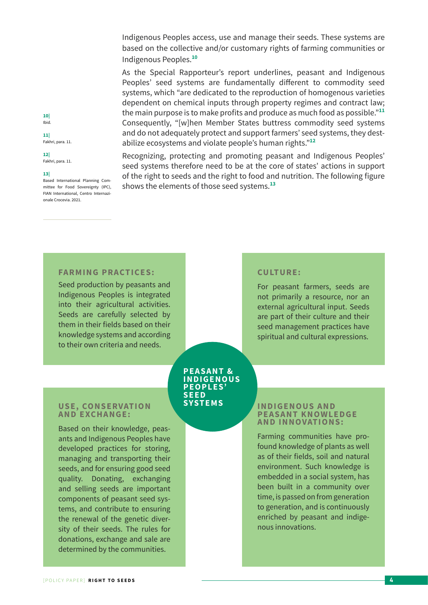Indigenous Peoples access, use and manage their seeds. These systems are based on the collective and/or customary rights of farming communities or Indigenous Peoples.**<sup>10</sup>**

As the Special Rapporteur's report underlines, peasant and Indigenous Peoples' seed systems are fundamentally different to commodity seed systems, which "are dedicated to the reproduction of homogenous varieties dependent on chemical inputs through property regimes and contract law; the main purpose is to make profits and produce as much food as possible."**<sup>11</sup>** Consequently, "[w]hen Member States buttress commodity seed systems and do not adequately protect and support farmers' seed systems, they destabilize ecosystems and violate people's human rights."**<sup>12</sup>**

Recognizing, protecting and promoting peasant and Indigenous Peoples' seed systems therefore need to be at the core of states' actions in support of the right to seeds and the right to food and nutrition. The following figure shows the elements of those seed systems.**<sup>13</sup>**

**CU LT U R E :** 

# **12|**

**10|** Ibid. **11|** Fakhri, para. 11.

# Fakhri, para. 11.

#### **13|**

Based International Planning Committee for Food Sovereignty (IPC), FIAN International, Centro Internazionale Crocevia. 2021.

# **FARMING PRACTICES:**

Seed production by peasants and Indigenous Peoples is integrated into their agricultural activities. Seeds are carefully selected by them in their fields based on their knowledge systems and according to their own criteria and needs.

#### **PEASANT & I N D I G E N O US P E O P L E S' S E E D SYSTEMS**

## **USE, CONSERVATION A N D E XC H A N G E :**

Based on their knowledge, peasants and Indigenous Peoples have developed practices for storing, managing and transporting their seeds, and for ensuring good seed quality. Donating, exchanging and selling seeds are important components of peasant seed systems, and contribute to ensuring the renewal of the genetic diversity of their seeds. The rules for donations, exchange and sale are determined by the communities.

## **I N D I G E N O US A N D P E A S A N T K N O W L E D G E A N D I N N OVAT I O N S :**

For peasant farmers, seeds are not primarily a resource, nor an external agricultural input. Seeds are part of their culture and their seed management practices have spiritual and cultural expressions.

Farming communities have profound knowledge of plants as well as of their fields, soil and natural environment. Such knowledge is embedded in a social system, has been built in a community over time, is passed on from generation to generation, and is continuously enriched by peasant and indigenous innovations.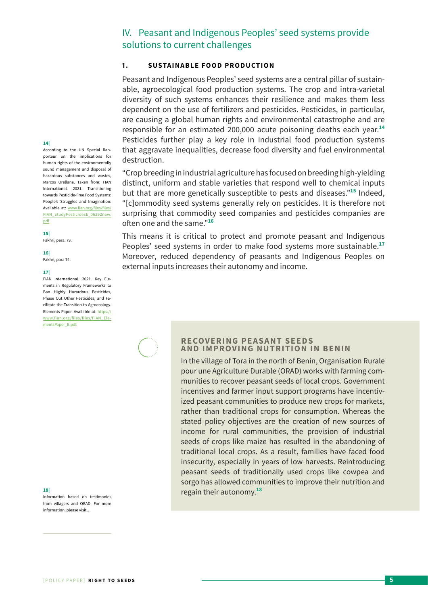# IV. Peasant and Indigenous Peoples' seed systems provide solutions to current challenges

# **1 . SUSTAINABLE FOOD PRODUCTION**

Peasant and Indigenous Peoples' seed systems are a central pillar of sustainable, agroecological food production systems. The crop and intra-varietal diversity of such systems enhances their resilience and makes them less dependent on the use of fertilizers and pesticides. Pesticides, in particular, are causing a global human rights and environmental catastrophe and are responsible for an estimated 200,000 acute poisoning deaths each year.**<sup>14</sup>** Pesticides further play a key role in industrial food production systems that aggravate inequalities, decrease food diversity and fuel environmental destruction.

"Crop breeding in industrial agriculture has focused on breeding high-yielding distinct, uniform and stable varieties that respond well to chemical inputs but that are more genetically susceptible to pests and diseases."**<sup>15</sup>** Indeed, "[c]ommodity seed systems generally rely on pesticides. It is therefore not surprising that commodity seed companies and pesticides companies are often one and the same."**<sup>16</sup>**

This means it is critical to protect and promote peasant and Indigenous Peoples' seed systems in order to make food systems more sustainable.**<sup>17</sup>** Moreover, reduced dependency of peasants and Indigenous Peoples on external inputs increases their autonomy and income.

#### **14|**

According to the UN Special Rapporteur on the implications for human rights of the environmentally sound management and disposal of hazardous substances and wastes, Marcos Orellana. Taken from: FIAN International. 2021. Transitioning towards Pesticide-Free Food Systems: People's Struggles and Imagination. Available at: [www.fian.org/files/files/](http://www.fian.org/files/files/FIAN_StudyPesticidesE_06292new.pdf) [FIAN\\_StudyPesticidesE\\_06292new.](http://www.fian.org/files/files/FIAN_StudyPesticidesE_06292new.pdf) [pdf](http://www.fian.org/files/files/FIAN_StudyPesticidesE_06292new.pdf)

#### **15|**

Fakhri, para. 79.

**16|** Fakhri, para 74.

#### **17|**

FIAN International. 2021. Key Elements in Regulatory Frameworks to Ban Highly Hazardous Pesticides, Phase Out Other Pesticides, and Facilitate the Transition to Agroecology. Elements Paper. Available at: [https://](https://www.fian.org/files/files/FIAN_ElementsPaper_E.pdf) [www.fian.org/files/files/FIAN\\_Ele](https://www.fian.org/files/files/FIAN_ElementsPaper_E.pdf)[mentsPaper\\_E.pdf](https://www.fian.org/files/files/FIAN_ElementsPaper_E.pdf).

Information based on testimonies from villagers and ORAD. For more information, please visit…

## **RECOVERING PEASANT SEEDS AND IMPROVING NUTRITION IN BENIN**

In the village of Tora in the north of Benin, Organisation Rurale pour une Agriculture Durable (ORAD) works with farming communities to recover peasant seeds of local crops. Government incentives and farmer input support programs have incentivized peasant communities to produce new crops for markets, rather than traditional crops for consumption. Whereas the stated policy objectives are the creation of new sources of income for rural communities, the provision of industrial seeds of crops like maize has resulted in the abandoning of traditional local crops. As a result, families have faced food insecurity, especially in years of low harvests. Reintroducing peasant seeds of traditionally used crops like cowpea and sorgo has allowed communities to improve their nutrition and regain their autonomy. **18| <sup>18</sup>**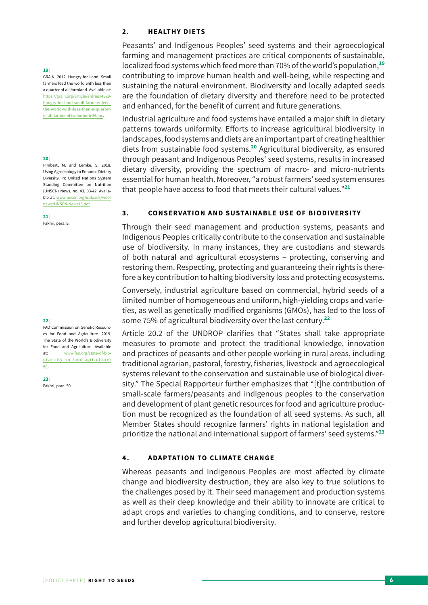## **2 . H E A LT H Y D I E TS**

Peasants' and Indigenous Peoples' seed systems and their agroecological farming and management practices are critical components of sustainable, localized food systems which feed more than 70% of the world's population,**<sup>19</sup>** contributing to improve human health and well-being, while respecting and sustaining the natural environment. Biodiversity and locally adapted seeds are the foundation of dietary diversity and therefore need to be protected and enhanced, for the benefit of current and future generations.

Industrial agriculture and food systems have entailed a major shift in dietary patterns towards uniformity. Efforts to increase agricultural biodiversity in landscapes, food systems and diets are an important part of creating healthier diets from sustainable food systems.**<sup>20</sup>** Agricultural biodiversity, as ensured through peasant and Indigenous Peoples' seed systems, results in increased dietary diversity, providing the spectrum of macro- and micro-nutrients essential for human health. Moreover, "a robust farmers' seed system ensures that people have access to food that meets their cultural values."**<sup>21</sup>**

## **3 . CONSERVATION AND SUSTAINABLE USE OF BIODIVERSITY**

Through their seed management and production systems, peasants and Indigenous Peoples critically contribute to the conservation and sustainable use of biodiversity. In many instances, they are custodians and stewards of both natural and agricultural ecosystems – protecting, conserving and restoring them. Respecting, protecting and guaranteeing their rights is therefore a key contribution to halting biodiversity loss and protecting ecosystems.

Conversely, industrial agriculture based on commercial, hybrid seeds of a limited number of homogeneous and uniform, high-yielding crops and varieties, as well as genetically modified organisms (GMOs), has led to the loss of some 75% of agricultural biodiversity over the last century.**<sup>22</sup>**

Article 20.2 of the UNDROP clarifies that "States shall take appropriate measures to promote and protect the traditional knowledge, innovation and practices of peasants and other people working in rural areas, including traditional agrarian, pastoral, forestry, fisheries, livestock and agroecological systems relevant to the conservation and sustainable use of biological diversity." The Special Rapporteur further emphasizes that "[t]he contribution of small-scale farmers/peasants and indigenous peoples to the conservation and development of plant genetic resources for food and agriculture production must be recognized as the foundation of all seed systems. As such, all Member States should recognize farmers' rights in national legislation and prioritize the national and international support of farmers' seed systems."**<sup>23</sup>**

## **4 . ADAPTATION TO CLIMATE CHANGE**

Whereas peasants and Indigenous Peoples are most affected by climate change and biodiversity destruction, they are also key to true solutions to the challenges posed by it. Their seed management and production systems as well as their deep knowledge and their ability to innovate are critical to adapt crops and varieties to changing conditions, and to conserve, restore and further develop agricultural biodiversity.

#### **19|**

GRAIN. 2012. Hungry for Land. Small farmers feed the world with less than a quarter of all farmland. Available at: [https://grain.org/article/entries/4929](https://grain.org/article/entries/4929-hungry-for-land-small-farmers-feed-the-world-with-less-than-a-quarter-of-all-farmland) [hungry-for-land-small-farmers-feed](https://grain.org/article/entries/4929-hungry-for-land-small-farmers-feed-the-world-with-less-than-a-quarter-of-all-farmland)[the-world-with-less-than-a-quarter](https://grain.org/article/entries/4929-hungry-for-land-small-farmers-feed-the-world-with-less-than-a-quarter-of-all-farmland)[of-all-farmland#sdfootnote36anc](https://grain.org/article/entries/4929-hungry-for-land-small-farmers-feed-the-world-with-less-than-a-quarter-of-all-farmland).

#### **20|**

Pimbert, M. and Lemke, S. 2018. Using Agroecology to Enhance Dietary Diversity. In: United Nations System Standing Committee on Nutrition (UNSCN) News, no. 43, 33-42. Available at: [www.unscn.org/uploads/web/](http://www.unscn.org/uploads/web/news/UNSCN-News43.pdf) [news/UNSCN-News43.pdf.](http://www.unscn.org/uploads/web/news/UNSCN-News43.pdf)

**21|** Fakhri, para. 9.

#### **22|**

FAO Commission on Genetic Resources for Food and Agriculture. 2019. The State of the World's Biodiversity for Food and Agriculture. Available at: [www.fao.org/state-of-bio](http://www.fao.org/state-of-biodiversity-for-food-agriculture/en)[diversity-for-food-agriculture/](http://www.fao.org/state-of-biodiversity-for-food-agriculture/en) [en](http://www.fao.org/state-of-biodiversity-for-food-agriculture/en).

**23|** Fakhri, para. 50.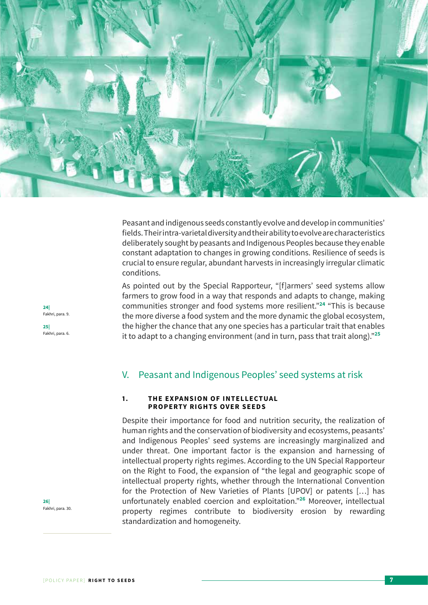

Peasant and indigenous seeds constantly evolve and develop in communities' fields. Their intra-varietal diversity and their ability to evolve are characteristics deliberately sought by peasants and Indigenous Peoples because they enable constant adaptation to changes in growing conditions. Resilience of seeds is crucial to ensure regular, abundant harvests in increasingly irregular climatic conditions.

As pointed out by the Special Rapporteur, "[f]armers' seed systems allow farmers to grow food in a way that responds and adapts to change, making communities stronger and food systems more resilient."**<sup>24</sup>** "This is because the more diverse a food system and the more dynamic the global ecosystem, the higher the chance that any one species has a particular trait that enables it to adapt to a changing environment (and in turn, pass that trait along)."**<sup>25</sup>**

# V. Peasant and Indigenous Peoples' seed systems at risk

## 1. THE EXPANSION OF INTELLECTUAL **PROPERTY RIGHTS OVER SEEDS**

Despite their importance for food and nutrition security, the realization of human rights and the conservation of biodiversity and ecosystems, peasants' and Indigenous Peoples' seed systems are increasingly marginalized and under threat. One important factor is the expansion and harnessing of intellectual property rights regimes. According to the UN Special Rapporteur on the Right to Food, the expansion of "the legal and geographic scope of intellectual property rights, whether through the International Convention for the Protection of New Varieties of Plants [UPOV] or patents […] has unfortunately enabled coercion and exploitation."**<sup>26</sup>** Moreover, intellectual property regimes contribute to biodiversity erosion by rewarding standardization and homogeneity.

**24|** Fakhri, para. 9. **25|** Fakhri, para. 6.

**26|** Fakhri, para. 30.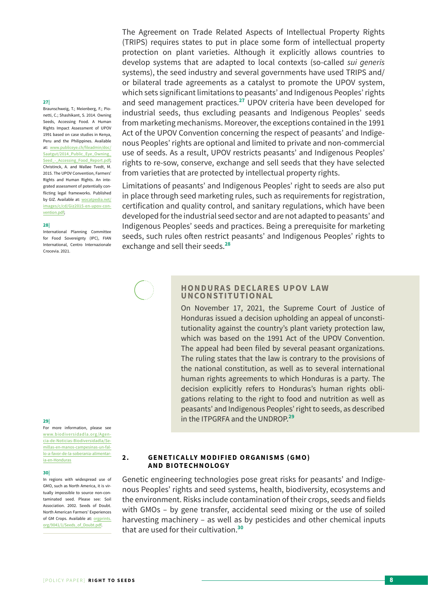#### **27|**

Braunschweig, T.; Meienberg, F.; Pionetti, C.; Shashikant, S. 2014. Owning Seeds, Accessing Food. A Human Rights Impact Assessment of UPOV 1991 based on case studies in Kenya, Peru and the Philippines. Available at: [www.publiceye.ch/fileadmin/doc/](http://www.publiceye.ch/fileadmin/doc/Saatgut/2014_Public_Eye_Owning_Seed_-_Accessing_Food_Report.pdf) [Saatgut/2014\\_Public\\_Eye\\_Owning\\_](http://www.publiceye.ch/fileadmin/doc/Saatgut/2014_Public_Eye_Owning_Seed_-_Accessing_Food_Report.pdf) [Seed\\_-\\_Accessing\\_Food\\_Report.pdf](http://www.publiceye.ch/fileadmin/doc/Saatgut/2014_Public_Eye_Owning_Seed_-_Accessing_Food_Report.pdf); Christinck, A. and Walløe Tvedt, M. 2015. The UPOV Convention, Farmers' Rights and Human Rights. An integrated assessment of potentially conflicting legal frameworks. Published by GIZ. Available at[:](https://wocatpedia.net/images/c/cd/Giz2015-en-upov-convention.pdf) [wocatpedia.net/](https://wocatpedia.net/images/c/cd/Giz2015-en-upov-convention.pdf) [images/c/cd/Giz2015-en-upov-con](https://wocatpedia.net/images/c/cd/Giz2015-en-upov-convention.pdf)[vention.pdf;](https://wocatpedia.net/images/c/cd/Giz2015-en-upov-convention.pdf)

#### **28|**

International Planning Committee for Food Sovereignty (IPC), FIAN International, Centro Internazionale Crocevia. 2021.

# **29|**

For more information, please see [www.biodiversidadla.org/Agen](http://www.biodiversidadla.org/Agencia-de-Noticias-Biodiversidadla/Semillas-en-manos-campesinas-un-fallo-a-favor-de-la-soberania-alimentaria-en-Honduras)[cia-de-Noticias-Biodiversidadla/Se](http://www.biodiversidadla.org/Agencia-de-Noticias-Biodiversidadla/Semillas-en-manos-campesinas-un-fallo-a-favor-de-la-soberania-alimentaria-en-Honduras)[millas-en-manos-campesinas-un-fal](http://www.biodiversidadla.org/Agencia-de-Noticias-Biodiversidadla/Semillas-en-manos-campesinas-un-fallo-a-favor-de-la-soberania-alimentaria-en-Honduras)[lo-a-favor-de-la-soberania-alimentar](http://www.biodiversidadla.org/Agencia-de-Noticias-Biodiversidadla/Semillas-en-manos-campesinas-un-fallo-a-favor-de-la-soberania-alimentaria-en-Honduras)[ia-en-Honduras](http://www.biodiversidadla.org/Agencia-de-Noticias-Biodiversidadla/Semillas-en-manos-campesinas-un-fallo-a-favor-de-la-soberania-alimentaria-en-Honduras)

#### **30|**

In regions with widespread use of GMO, such as North America, it is virtually impossible to source non-contaminated seed. Please see: Soil Association. 2002. Seeds of Doubt. North American Farmers' Experiences of GM Crops. Available at: [orgprints.](https://orgprints.org/9041/1/Seeds_of_Doubt.pdf) [org/9041/1/Seeds\\_of\\_Doubt.pdf](https://orgprints.org/9041/1/Seeds_of_Doubt.pdf).

The Agreement on Trade Related Aspects of Intellectual Property Rights (TRIPS) requires states to put in place some form of intellectual property protection on plant varieties. Although it explicitly allows countries to develop systems that are adapted to local contexts (so-called *sui generis* systems), the seed industry and several governments have used TRIPS and/ or bilateral trade agreements as a catalyst to promote the UPOV system, which sets significant limitations to peasants' and Indigenous Peoples' rights and seed management practices.**<sup>27</sup>** UPOV criteria have been developed for industrial seeds, thus excluding peasants and Indigenous Peoples' seeds from marketing mechanisms. Moreover, the exceptions contained in the 1991 Act of the UPOV Convention concerning the respect of peasants' and Indigenous Peoples' rights are optional and limited to private and non-commercial use of seeds. As a result, UPOV restricts peasants' and Indigenous Peoples' rights to re-sow, conserve, exchange and sell seeds that they have selected from varieties that are protected by intellectual property rights.

Limitations of peasants' and Indigenous Peoples' right to seeds are also put in place through seed marketing rules, such as requirements for registration, certification and quality control, and sanitary regulations, which have been developed for the industrial seed sector and are not adapted to peasants' and Indigenous Peoples' seeds and practices. Being a prerequisite for marketing seeds, such rules often restrict peasants' and Indigenous Peoples' rights to exchange and sell their seeds.**<sup>28</sup>**

## **HONDURAS DECLARES UPOV LAW UNCONSTITUTIONAL**

On November 17, 2021, the Supreme Court of Justice of Honduras issued a decision upholding an appeal of unconstitutionality against the country's plant variety protection law, which was based on the 1991 Act of the UPOV Convention. The appeal had been filed by several peasant organizations. The ruling states that the law is contrary to the provisions of the national constitution, as well as to several international human rights agreements to which Honduras is a party. The decision explicitly refers to Honduras's human rights obligations relating to the right to food and nutrition as well as peasants' and Indigenous Peoples' right to seeds, as described in the ITPGRFA and the UNDROP.**<sup>29</sup>**

## **2 . GENETICALLY MODIFIED ORGANISMS (GMO) AND BIOTECHNOLOGY**

Genetic engineering technologies pose great risks for peasants' and Indigenous Peoples' rights and seed systems, health, biodiversity, ecosystems and the environment. Risks include contamination of their crops, seeds and fields with GMOs – by gene transfer, accidental seed mixing or the use of soiled harvesting machinery – as well as by pesticides and other chemical inputs that are used for their cultivation.**<sup>30</sup>**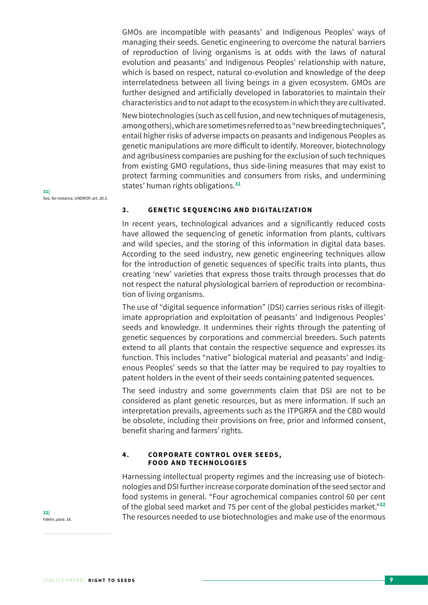GMOs are incompatible with peasants' and Indigenous Peoples' ways of managing their seeds. Genetic engineering to overcome the natural barriers of reproduction of living organisms is at odds with the laws of natural evolution and peasants' and Indigenous Peoples' relationship with nature, which is based on respect, natural co-evolution and knowledge of the deep interrelatedness between all living beings in a given ecosystem. GMOs are further designed and artificially developed in laboratories to maintain their characteristics and to not adapt to the ecosystem in which they are cultivated.

New biotechnologies (such as cell fusion, and new techniques of mutagenesis, among others), which are sometimes referred to as "new breeding techniques", entail higher risks of adverse impacts on peasants and Indigenous Peoples as genetic manipulations are more difficult to identify. Moreover, biotechnology and agribusiness companies are pushing for the exclusion of such techniques from existing GMO regulations, thus side-lining measures that may exist to protect farming communities and consumers from risks, and undermining states' human rights obligations.**<sup>31</sup>**

## **3 . GENETIC SEQUENCING AND DIGITALIZATION**

In recent years, technological advances and a significantly reduced costs have allowed the sequencing of genetic information from plants, cultivars and wild species, and the storing of this information in digital data bases. According to the seed industry, new genetic engineering techniques allow for the introduction of genetic sequences of specific traits into plants, thus creating 'new' varieties that express those traits through processes that do not respect the natural physiological barriers of reproduction or recombination of living organisms.

The use of "digital sequence information" (DSI) carries serious risks of illegitimate appropriation and exploitation of peasants' and Indigenous Peoples' seeds and knowledge. It undermines their rights through the patenting of genetic sequences by corporations and commercial breeders. Such patents extend to all plants that contain the respective sequence and expresses its function. This includes "native" biological material and peasants' and Indigenous Peoples' seeds so that the latter may be required to pay royalties to patent holders in the event of their seeds containing patented sequences.

The seed industry and some governments claim that DSI are not to be considered as plant genetic resources, but as mere information. If such an interpretation prevails, agreements such as the ITPGRFA and the CBD would be obsolete, including their provisions on free, prior and informed consent, benefit sharing and farmers' rights.

#### **4. CORPORATE CONTROL OVER SEEDS, FOOD AND TECHNOLOGIES**

Harnessing intellectual property regimes and the increasing use of biotechnologies and DSI further increase corporate domination of the seed sector and food systems in general. "Four agrochemical companies control 60 per cent of the global seed market and 75 per cent of the global pesticides market."**<sup>32</sup>** The resources needed to use biotechnologies and make use of the enormous

**31|** See, for instance, UNDROP, art. 20.3.

**32|** Fakhri, para. 18.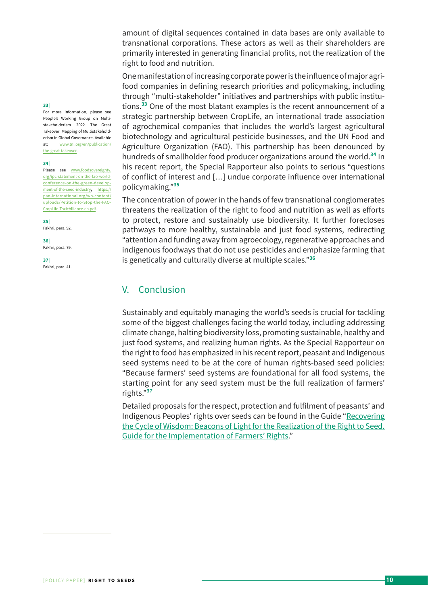amount of digital sequences contained in data bases are only available to transnational corporations. These actors as well as their shareholders are primarily interested in generating financial profits, not the realization of the right to food and nutrition.

One manifestation of increasing corporate power is the influence of major agrifood companies in defining research priorities and policymaking, including through "multi-stakeholder" initiatives and partnerships with public institutions.**<sup>33</sup>** One of the most blatant examples is the recent announcement of a strategic partnership between CropLife, an international trade association of agrochemical companies that includes the world's largest agricultural biotechnology and agricultural pesticide businesses, and the UN Food and Agriculture Organization (FAO). This partnership has been denounced by hundreds of smallholder food producer organizations around the world.**<sup>34</sup>** In his recent report, the Special Rapporteur also points to serious "questions of conflict of interest and […] undue corporate influence over international policymaking."**<sup>35</sup>**

The concentration of power in the hands of few transnational conglomerates threatens the realization of the right to food and nutrition as well as efforts to protect, restore and sustainably use biodiversity. It further forecloses pathways to more healthy, sustainable and just food systems, redirecting "attention and funding away from agroecology, regenerative approaches and indigenous foodways that do not use pesticides and emphasize farming that is genetically and culturally diverse at multiple scales."**<sup>36</sup>**

# V. Conclusion

Sustainably and equitably managing the world's seeds is crucial for tackling some of the biggest challenges facing the world today, including addressing climate change, halting biodiversity loss, promoting sustainable, healthy and just food systems, and realizing human rights. As the Special Rapporteur on the right to food has emphasized in his recent report, peasant and Indigenous seed systems need to be at the core of human rights-based seed policies: "Because farmers' seed systems are foundational for all food systems, the starting point for any seed system must be the full realization of farmers' rights."**<sup>37</sup>**

Detailed proposals for the respect, protection and fulfilment of peasants' and Indigenous Peoples' rights over seeds can be found in the Guide "[Recovering](http://www.fian.org/files/files/GUIDE_Implementation-FRs_ENG_final.pdf) [the Cycle of Wisdom: Beacons of Light for the Realization of the Right to Seed.](http://www.fian.org/files/files/GUIDE_Implementation-FRs_ENG_final.pdf) [Guide for the Implementation of Farmers' Rights](http://www.fian.org/files/files/GUIDE_Implementation-FRs_ENG_final.pdf)."

# **33|**

For more information, please see People's Working Group on Multistakeholderism. 2022. The Great Takeover: Mapping of Multistakeholderism in Global Governance. Available at: [www.tni.org/en/publication/](http://www.tni.org/en/publication/the-great-takeover) [the-great-takeover](http://www.tni.org/en/publication/the-great-takeover).

#### **34|**

Please see [www.foodsovereignty.](http://www.foodsovereignty.org/ipc-statement-on-the-fao-world-conference-on-the-green-development-of-the-seed-industry) [org/ipc-statement-on-the-fao-world](http://www.foodsovereignty.org/ipc-statement-on-the-fao-world-conference-on-the-green-development-of-the-seed-industry)[conference-on-the-green-develop](http://www.foodsovereignty.org/ipc-statement-on-the-fao-world-conference-on-the-green-development-of-the-seed-industry)[ment-of-the-seed-industry](http://www.foodsovereignty.org/ipc-statement-on-the-fao-world-conference-on-the-green-development-of-the-seed-industry); [https://](https://pan-international.org/wp-content/uploads/Petition-to-Stop-the-FAO-CropLife-ToxicAlliance-en.pdf) [pan-international.org/wp-content/](https://pan-international.org/wp-content/uploads/Petition-to-Stop-the-FAO-CropLife-ToxicAlliance-en.pdf) [uploads/Petition-to-Stop-the-FAO-](https://pan-international.org/wp-content/uploads/Petition-to-Stop-the-FAO-CropLife-ToxicAlliance-en.pdf)[CropLife-ToxicAlliance-en.pdf](https://pan-international.org/wp-content/uploads/Petition-to-Stop-the-FAO-CropLife-ToxicAlliance-en.pdf).

**35|** Fakhri, para. 92.

**36|**

Fakhri, para. 79.

**37|** Fakhri, para. 41.